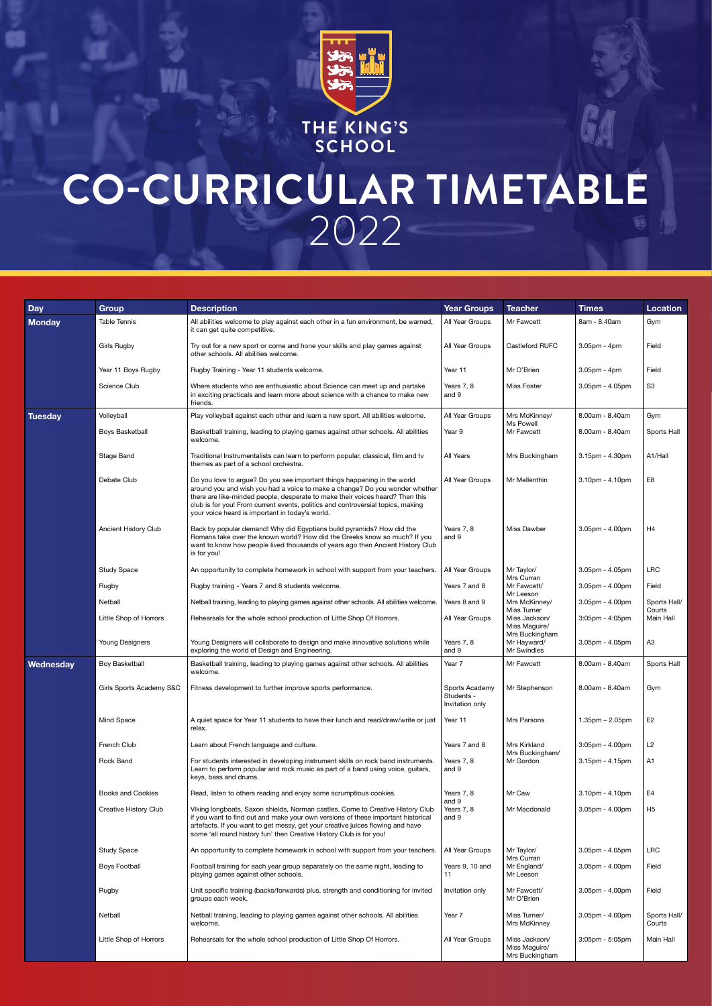

**SCHOOL**

## **CO-CURRICULAR TIMETABLE**  2022

| <b>Day</b>     | <b>Group</b>                | <b>Description</b>                                                                                                                                                                                                                                                                                                                                                             | <b>Year Groups</b>                              | <b>Teacher</b>                                   | <b>Times</b>          | <b>Location</b>        |
|----------------|-----------------------------|--------------------------------------------------------------------------------------------------------------------------------------------------------------------------------------------------------------------------------------------------------------------------------------------------------------------------------------------------------------------------------|-------------------------------------------------|--------------------------------------------------|-----------------------|------------------------|
| <b>Monday</b>  | <b>Table Tennis</b>         | All abilities welcome to play against each other in a fun environment, be warned,<br>it can get quite competitive.                                                                                                                                                                                                                                                             | All Year Groups                                 | Mr Fawcett                                       | 8am - 8.40am          | Gym                    |
|                | Girls Rugby                 | Try out for a new sport or come and hone your skills and play games against<br>other schools. All abilities welcome.                                                                                                                                                                                                                                                           | All Year Groups                                 | Castleford RUFC                                  | $3.05$ pm - 4pm       | Field                  |
|                | Year 11 Boys Rugby          | Rugby Training - Year 11 students welcome.                                                                                                                                                                                                                                                                                                                                     | Year 11                                         | Mr O'Brien                                       | $3.05pm - 4pm$        | Field                  |
|                | Science Club                | Where students who are enthusiastic about Science can meet up and partake<br>in exciting practicals and learn more about science with a chance to make new<br>friends.                                                                                                                                                                                                         | Years 7, 8<br>and 9                             | Miss Foster                                      | $3.05$ pm - $4.05$ pm | S <sub>3</sub>         |
| <b>Tuesday</b> | Volleyball                  | Play volleyball against each other and learn a new sport. All abilities welcome.                                                                                                                                                                                                                                                                                               | All Year Groups                                 | Mrs McKinney/<br>Ms Powell                       | 8.00am - 8.40am       | Gym                    |
|                | Boys Basketball             | Basketball training, leading to playing games against other schools. All abilities<br>welcome.                                                                                                                                                                                                                                                                                 | Year 9                                          | Mr Fawcett                                       | 8.00am - 8.40am       | Sports Hall            |
|                | Stage Band                  | Traditional Instrumentalists can learn to perform popular, classical, film and tv<br>themes as part of a school orchestra.                                                                                                                                                                                                                                                     | All Years                                       | Mrs Buckingham                                   | $3.15$ pm - $4.30$ pm | A1/Hall                |
|                | Debate Club                 | Do you love to argue? Do you see important things happening in the world<br>around you and wish you had a voice to make a change? Do you wonder whether<br>there are like-minded people, desperate to make their voices heard? Then this<br>club is for you! From current events, politics and controversial topics, making<br>your voice heard is important in today's world. | All Year Groups                                 | Mr Mellenthin                                    | $3.10pm - 4.10pm$     | E8                     |
|                | <b>Ancient History Club</b> | Back by popular demand! Why did Egyptians build pyramids? How did the<br>Romans take over the known world? How did the Greeks know so much? If you<br>want to know how people lived thousands of years ago then Ancient History Club<br>is for you!                                                                                                                            | Years 7, 8<br>and 9                             | <b>Miss Dawber</b>                               | 3.05pm - 4.00pm       | H <sub>4</sub>         |
|                | <b>Study Space</b>          | An opportunity to complete homework in school with support from your teachers.                                                                                                                                                                                                                                                                                                 | All Year Groups                                 | Mr Taylor/<br>Mrs Curran                         | 3.05pm - 4.05pm       | <b>LRC</b>             |
|                | Rugby                       | Rugby training - Years 7 and 8 students welcome.                                                                                                                                                                                                                                                                                                                               | Years 7 and 8                                   | Mr Fawcett/<br>Mr Leeson                         | 3.05pm - 4.00pm       | Field                  |
|                | Netball                     | Netball training, leading to playing games against other schools. All abilities welcome.                                                                                                                                                                                                                                                                                       | Years 8 and 9                                   | Mrs McKinney/<br><b>Miss Turner</b>              | $3.05$ pm - $4.00$ pm | Sports Hall/<br>Courts |
|                | Little Shop of Horrors      | Rehearsals for the whole school production of Little Shop Of Horrors.                                                                                                                                                                                                                                                                                                          | All Year Groups                                 | Miss Jackson/<br>Miss Maguire/<br>Mrs Buckingham | $3:05$ pm - $4:05$ pm | Main Hall              |
|                | Young Designers             | Young Designers will collaborate to design and make innovative solutions while<br>exploring the world of Design and Engineering.                                                                                                                                                                                                                                               | Years 7, 8<br>and 9                             | Mr Hayward/<br>Mr Swindles                       | $3.05$ pm - $4.05$ pm | A <sub>3</sub>         |
| Wednesday      | <b>Boy Basketball</b>       | Basketball training, leading to playing games against other schools. All abilities<br>welcome.                                                                                                                                                                                                                                                                                 | Year 7                                          | Mr Fawcett                                       | 8.00am - 8.40am       | Sports Hall            |
|                | Girls Sports Academy S&C    | Fitness development to further improve sports performance.                                                                                                                                                                                                                                                                                                                     | Sports Academy<br>Students -<br>Invitation only | Mr Stephenson                                    | 8.00am - 8.40am       | Gym                    |
|                | Mind Space                  | A quiet space for Year 11 students to have their lunch and read/draw/write or just<br>relax.                                                                                                                                                                                                                                                                                   | Year 11                                         | Mrs Parsons                                      | $1.35$ pm $- 2.05$ pm | E <sub>2</sub>         |
|                | French Club                 | Learn about French language and culture.                                                                                                                                                                                                                                                                                                                                       | Years 7 and 8                                   | Mrs Kirkland<br>Mrs Buckingham/                  | $3:05$ pm - $4.00$ pm | L <sub>2</sub>         |
|                | Rock Band                   | For students interested in developing instrument skills on rock band instruments.<br>Learn to perform popular and rock music as part of a band using voice, guitars,<br>keys, bass and drums.                                                                                                                                                                                  | Years 7, 8<br>and 9                             | Mr Gordon                                        | $3.15$ pm - $4.15$ pm | A1                     |
|                | <b>Books and Cookies</b>    | Read, listen to others reading and enjoy some scrumptious cookies.                                                                                                                                                                                                                                                                                                             | Years 7, 8<br>and 9                             | Mr Caw                                           | 3.10pm - 4.10pm       | E <sub>4</sub>         |
|                | Creative History Club       | Viking longboats, Saxon shields, Norman castles. Come to Creative History Club<br>if you want to find out and make your own versions of these important historical<br>artefacts. If you want to get messy, get your creative juices flowing and have<br>some 'all round history fun' then Creative History Club is for you!                                                    | Years 7, 8<br>and 9                             | Mr Macdonald                                     | $3.05$ pm - $4.00$ pm | H <sub>5</sub>         |
|                | <b>Study Space</b>          | An opportunity to complete homework in school with support from your teachers.                                                                                                                                                                                                                                                                                                 | All Year Groups                                 | Mr Taylor/                                       | 3.05pm - 4.05pm       | <b>LRC</b>             |
|                | <b>Boys Football</b>        | Football training for each year group separately on the same night, leading to<br>playing games against other schools.                                                                                                                                                                                                                                                         | Years 9, 10 and<br>11                           | Mrs Curran<br>Mr England/<br>Mr Leeson           | $3.05$ pm - $4.00$ pm | Field                  |
|                | Rugby                       | Unit specific training (backs/forwards) plus, strength and conditioning for invited<br>groups each week.                                                                                                                                                                                                                                                                       | Invitation only                                 | Mr Fawcett/<br>Mr O'Brien                        | 3.05pm - 4.00pm       | Field                  |
|                | Netball                     | Netball training, leading to playing games against other schools. All abilities<br>welcome.                                                                                                                                                                                                                                                                                    | Year 7                                          | Miss Turner/<br>Mrs McKinney                     | 3.05pm - 4.00pm       | Sports Hall/<br>Courts |
|                | Little Shop of Horrors      | Rehearsals for the whole school production of Little Shop Of Horrors.                                                                                                                                                                                                                                                                                                          | All Year Groups                                 | Miss Jackson/<br>Miss Maguire/<br>Mrs Buckingham | $3:05$ pm - $5:05$ pm | Main Hall              |